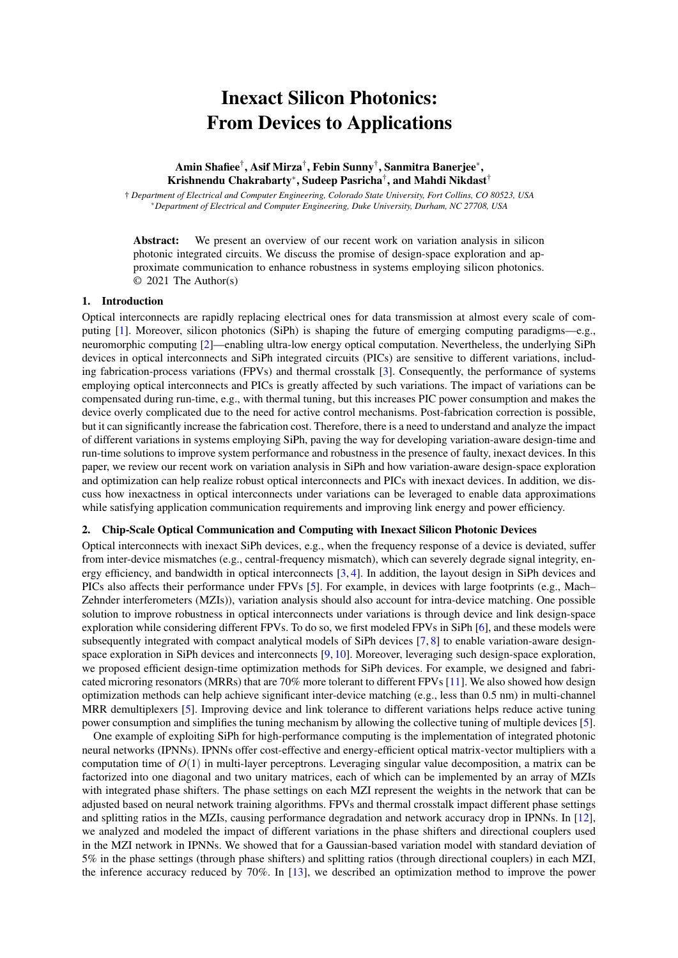# Inexact Silicon Photonics: From Devices to Applications

## Amin Shafiee<sup>†</sup>, Asif Mirza<sup>†</sup>, Febin Sunny<sup>†</sup>, Sanmitra Banerjee<sup>\*</sup>, Krishnendu Chakrabarty<sup>\*</sup>, Sudeep Pasricha<sup>†</sup>, and Mahdi Nikdast<sup>†</sup>

† *Department of Electrical and Computer Engineering, Colorado State University, Fort Collins, CO 80523, USA* ⇤*Department of Electrical and Computer Engineering, Duke University, Durham, NC 27708, USA*

Abstract: We present an overview of our recent work on variation analysis in silicon photonic integrated circuits. We discuss the promise of design-space exploration and approximate communication to enhance robustness in systems employing silicon photonics. © 2021 The Author(s)

### 1. Introduction

Optical interconnects are rapidly replacing electrical ones for data transmission at almost every scale of computing [\[1\]](#page-1-0). Moreover, silicon photonics (SiPh) is shaping the future of emerging computing paradigms—e.g., neuromorphic computing [\[2\]](#page-1-1)—enabling ultra-low energy optical computation. Nevertheless, the underlying SiPh devices in optical interconnects and SiPh integrated circuits (PICs) are sensitive to different variations, including fabrication-process variations (FPVs) and thermal crosstalk [\[3\]](#page-1-2). Consequently, the performance of systems employing optical interconnects and PICs is greatly affected by such variations. The impact of variations can be compensated during run-time, e.g., with thermal tuning, but this increases PIC power consumption and makes the device overly complicated due to the need for active control mechanisms. Post-fabrication correction is possible, but it can significantly increase the fabrication cost. Therefore, there is a need to understand and analyze the impact of different variations in systems employing SiPh, paving the way for developing variation-aware design-time and run-time solutions to improve system performance and robustness in the presence of faulty, inexact devices. In this paper, we review our recent work on variation analysis in SiPh and how variation-aware design-space exploration and optimization can help realize robust optical interconnects and PICs with inexact devices. In addition, we discuss how inexactness in optical interconnects under variations can be leveraged to enable data approximations while satisfying application communication requirements and improving link energy and power efficiency.

#### 2. Chip-Scale Optical Communication and Computing with Inexact Silicon Photonic Devices

Optical interconnects with inexact SiPh devices, e.g., when the frequency response of a device is deviated, suffer from inter-device mismatches (e.g., central-frequency mismatch), which can severely degrade signal integrity, energy efficiency, and bandwidth in optical interconnects [\[3,](#page-1-2) [4\]](#page-1-3). In addition, the layout design in SiPh devices and PICs also affects their performance under FPVs [\[5\]](#page-1-4). For example, in devices with large footprints (e.g., Mach– Zehnder interferometers (MZIs)), variation analysis should also account for intra-device matching. One possible solution to improve robustness in optical interconnects under variations is through device and link design-space exploration while considering different FPVs. To do so, we first modeled FPVs in SiPh [\[6\]](#page-1-5), and these models were subsequently integrated with compact analytical models of SiPh devices [\[7,](#page-1-6) [8\]](#page-1-7) to enable variation-aware designspace exploration in SiPh devices and interconnects [\[9,](#page-1-8) [10\]](#page-1-9). Moreover, leveraging such design-space exploration, we proposed efficient design-time optimization methods for SiPh devices. For example, we designed and fabricated microring resonators (MRRs) that are 70% more tolerant to different FPVs [\[11\]](#page-1-10). We also showed how design optimization methods can help achieve significant inter-device matching (e.g., less than 0.5 nm) in multi-channel MRR demultiplexers [\[5\]](#page-1-4). Improving device and link tolerance to different variations helps reduce active tuning power consumption and simplifies the tuning mechanism by allowing the collective tuning of multiple devices [\[5\]](#page-1-4).

One example of exploiting SiPh for high-performance computing is the implementation of integrated photonic neural networks (IPNNs). IPNNs offer cost-effective and energy-efficient optical matrix-vector multipliers with a computation time of *O*(1) in multi-layer perceptrons. Leveraging singular value decomposition, a matrix can be factorized into one diagonal and two unitary matrices, each of which can be implemented by an array of MZIs with integrated phase shifters. The phase settings on each MZI represent the weights in the network that can be adjusted based on neural network training algorithms. FPVs and thermal crosstalk impact different phase settings and splitting ratios in the MZIs, causing performance degradation and network accuracy drop in IPNNs. In [\[12\]](#page-1-11), we analyzed and modeled the impact of different variations in the phase shifters and directional couplers used in the MZI network in IPNNs. We showed that for a Gaussian-based variation model with standard deviation of 5% in the phase settings (through phase shifters) and splitting ratios (through directional couplers) in each MZI, the inference accuracy reduced by 70%. In [\[13\]](#page-1-12), we described an optimization method to improve the power